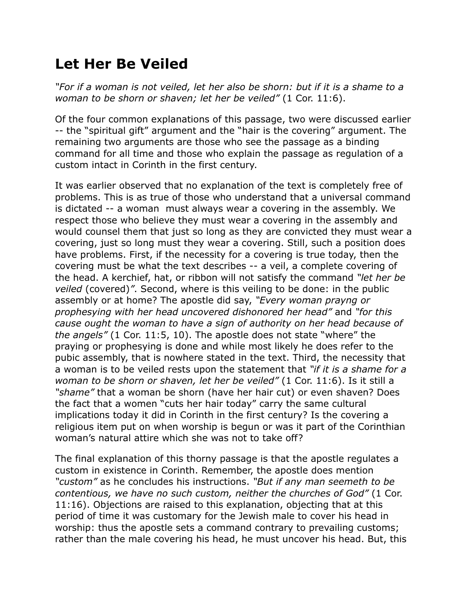## **Let Her Be Veiled**

*"For if a woman is not veiled, let her also be shorn: but if it is a shame to a woman to be shorn or shaven; let her be veiled"* (1 Cor. 11:6).

Of the four common explanations of this passage, two were discussed earlier -- the "spiritual gift" argument and the "hair is the covering" argument. The remaining two arguments are those who see the passage as a binding command for all time and those who explain the passage as regulation of a custom intact in Corinth in the first century.

It was earlier observed that no explanation of the text is completely free of problems. This is as true of those who understand that a universal command is dictated -- a woman must always wear a covering in the assembly. We respect those who believe they must wear a covering in the assembly and would counsel them that just so long as they are convicted they must wear a covering, just so long must they wear a covering. Still, such a position does have problems. First, if the necessity for a covering is true today, then the covering must be what the text describes -- a veil, a complete covering of the head. A kerchief, hat, or ribbon will not satisfy the command *"let her be veiled* (covered)*"*. Second, where is this veiling to be done: in the public assembly or at home? The apostle did say, *"Every woman prayng or prophesying with her head uncovered dishonored her head"* and *"for this cause ought the woman to have a sign of authority on her head because of the angels"* (1 Cor. 11:5, 10). The apostle does not state "where" the praying or prophesying is done and while most likely he does refer to the pubic assembly, that is nowhere stated in the text. Third, the necessity that a woman is to be veiled rests upon the statement that *"if it is a shame for a woman to be shorn or shaven, let her be veiled"* (1 Cor. 11:6). Is it still a *"shame"* that a woman be shorn (have her hair cut) or even shaven? Does the fact that a women "cuts her hair today" carry the same cultural implications today it did in Corinth in the first century? Is the covering a religious item put on when worship is begun or was it part of the Corinthian woman's natural attire which she was not to take off?

The final explanation of this thorny passage is that the apostle regulates a custom in existence in Corinth. Remember, the apostle does mention *"custom"* as he concludes his instructions. *"But if any man seemeth to be contentious, we have no such custom, neither the churches of God"* (1 Cor. 11:16). Objections are raised to this explanation, objecting that at this period of time it was customary for the Jewish male to cover his head in worship: thus the apostle sets a command contrary to prevailing customs; rather than the male covering his head, he must uncover his head. But, this